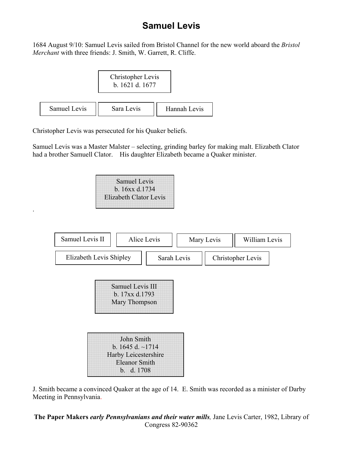## **Samuel Levis**

1684 August 9/10: Samuel Levis sailed from Bristol Channel for the new world aboard the *Bristol Merchant* with three friends: J. Smith, W. Garrett, R. Cliffe.



Christopher Levis was persecuted for his Quaker beliefs.

.

Samuel Levis was a Master Malster – selecting, grinding barley for making malt. Elizabeth Clator had a brother Samuell Clator. His daughter Elizabeth became a Quaker minister.

| <b>Samuel Levis</b>           |
|-------------------------------|
| b. 16xx d.1734                |
| <b>Elizabeth Clator Levis</b> |



J. Smith became a convinced Quaker at the age of 14. E. Smith was recorded as a minister of Darby Meeting in Pennsylvania.

**The Paper Makers** *early Pennsylvanians and their water mills,* Jane Levis Carter, 1982, Library of Congress 82-90362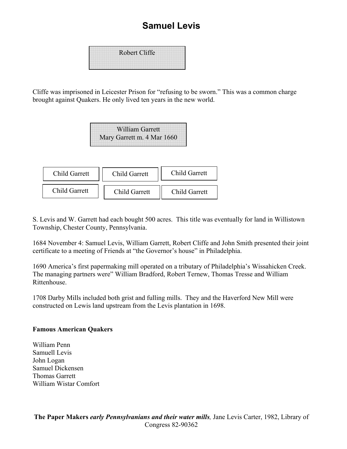## **Samuel Levis**

| <b>Robert Cliffe</b> |
|----------------------|
|                      |
|                      |

Cliffe was imprisoned in Leicester Prison for "refusing to be sworn." This was a common charge brought against Quakers. He only lived ten years in the new world.

| <b>William Garrett</b>     |
|----------------------------|
| Mary Garrett m. 4 Mar 1660 |



S. Levis and W. Garrett had each bought 500 acres. This title was eventually for land in Willistown Township, Chester County, Pennsylvania.

1684 November 4: Samuel Levis, William Garrett, Robert Cliffe and John Smith presented their joint certificate to a meeting of Friends at "the Governor's house" in Philadelphia.

1690 America's first papermaking mill operated on a tributary of Philadelphia's Wissahicken Creek. The managing partners were" William Bradford, Robert Ternew, Thomas Tresse and William Rittenhouse.

1708 Darby Mills included both grist and fulling mills. They and the Haverford New Mill were constructed on Lewis land upstream from the Levis plantation in 1698.

## **Famous American Quakers**

William Penn Samuell Levis John Logan Samuel Dickensen Thomas Garrett William Wistar Comfort